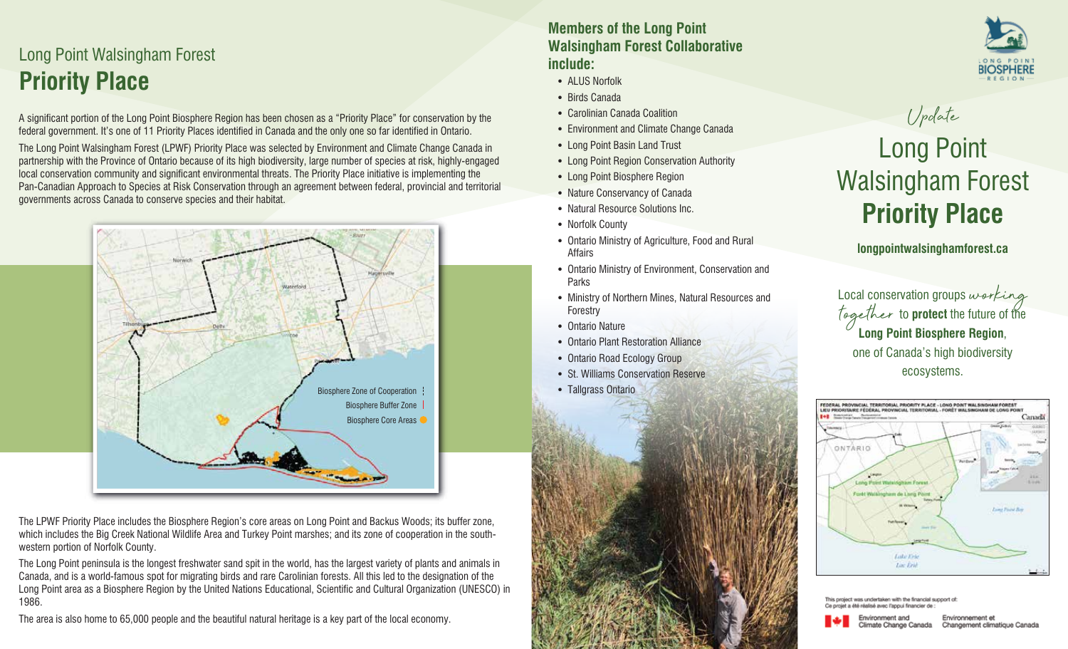## Long Point Walsingham Forest **Priority Place**

A significant portion of the Long Point Biosphere Region has been chosen as a "Priority Place" for conservation by the federal government. It's one of 11 Priority Places identified in Canada and the only one so far identified in Ontario.

The Long Point Walsingham Forest (LPWF) Priority Place was selected by Environment and Climate Change Canada in partnership with the Province of Ontario because of its high biodiversity, large number of species at risk, highly-engaged local conservation community and significant environmental threats. The Priority Place initiative is implementing the Pan-Canadian Approach to Species at Risk Conservation through an agreement between federal, provincial and territorial governments across Canada to conserve species and their habitat.



The LPWF Priority Place includes the Biosphere Region's core areas on Long Point and Backus Woods; its buffer zone, which includes the Big Creek National Wildlife Area and Turkey Point marshes; and its zone of cooperation in the southwestern portion of Norfolk County.

The Long Point peninsula is the longest freshwater sand spit in the world, has the largest variety of plants and animals in Canada, and is a world-famous spot for migrating birds and rare Carolinian forests. All this led to the designation of the Long Point area as a Biosphere Region by the United Nations Educational, Scientific and Cultural Organization (UNESCO) in 1986.

The area is also home to 65,000 people and the beautiful natural heritage is a key part of the local economy.

#### **Members of the Long Point Walsingham Forest Collaborative include:**

- **•** ALUS Norfolk
- **•** Birds Canada
- **•** Carolinian Canada Coalition
- **•** Environment and Climate Change Canada
- **•** Long Point Basin Land Trust
- **•** Long Point Region Conservation Authority
- **•** Long Point Biosphere Region
- **•** Nature Conservancy of Canada
- **•** Natural Resource Solutions Inc.
- **•** Norfolk County
- **•** Ontario Ministry of Agriculture, Food and Rural Affairs
- **•** Ontario Ministry of Environment, Conservation and Parks
- **•** Ministry of Northern Mines, Natural Resources and Forestry
- **•** Ontario Nature
- **•** Ontario Plant Restoration Alliance
- **•** Ontario Road Ecology Group





# Long Point Walsingham Forest **Priority Place**

Update

**longpointwalsinghamforest.ca**

Local conservation groups working together to **protect** the future of the **Long Point Biosphere Region**, one of Canada's high biodiversity ecosystems.







Environnement et Changement climatique Canada